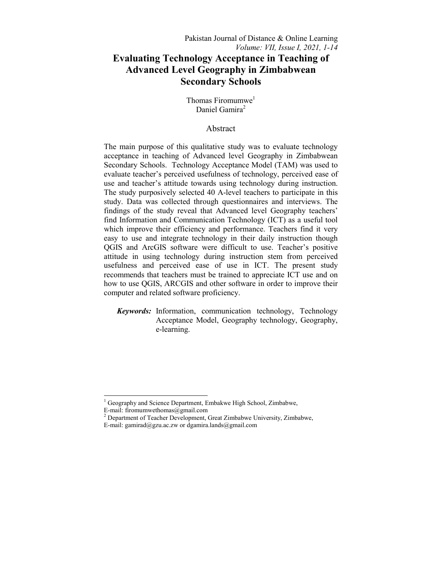Thomas Firomumwe<sup>1</sup> Daniel Gamira<sup>2</sup>

# Abstract

The main purpose of this qualitative study was to evaluate technology acceptance in teaching of Advanced level Geography in Zimbabwean Secondary Schools. Technology Acceptance Model (TAM) was used to evaluate teacher's perceived usefulness of technology, perceived ease of use and teacher's attitude towards using technology during instruction. The study purposively selected 40 A-level teachers to participate in this study. Data was collected through questionnaires and interviews. The findings of the study reveal that Advanced level Geography teachers' find Information and Communication Technology (ICT) as a useful tool which improve their efficiency and performance. Teachers find it very easy to use and integrate technology in their daily instruction though QGIS and ArcGIS software were difficult to use. Teacher's positive attitude in using technology during instruction stem from perceived usefulness and perceived ease of use in ICT. The present study recommends that teachers must be trained to appreciate ICT use and on how to use QGIS, ARCGIS and other software in order to improve their computer and related software proficiency.

*Keywords:* Information, communication technology, Technology Acceptance Model, Geography technology, Geography, e-learning.

 $\frac{1}{1}$  Geography and Science Department, Embakwe High School, Zimbabwe, E-mail: firomumwethomas@gmail.com

<sup>&</sup>lt;sup>2</sup> Department of Teacher Development, Great Zimbabwe University, Zimbabwe, E-mail: gamirad@gzu.ac.zw or dgamira.lands@gmail.com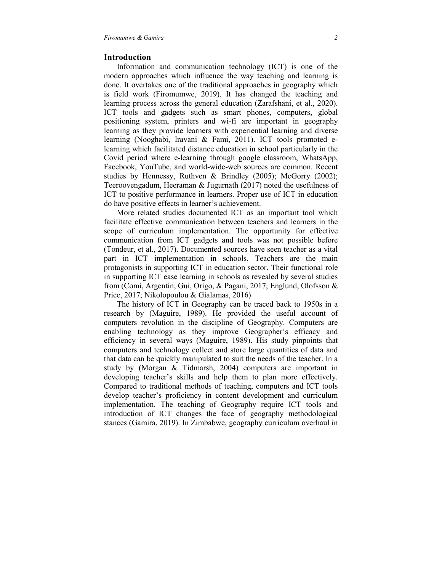## **Introduction**

 Information and communication technology (ICT) is one of the modern approaches which influence the way teaching and learning is done. It overtakes one of the traditional approaches in geography which is field work (Firomumwe, 2019). It has changed the teaching and learning process across the general education (Zarafshani, et al., 2020). ICT tools and gadgets such as smart phones, computers, global positioning system, printers and wi-fi are important in geography learning as they provide learners with experiential learning and diverse learning (Nooghabi, Iravani & Fami, 2011). ICT tools promoted elearning which facilitated distance education in school particularly in the Covid period where e-learning through google classroom, WhatsApp, Facebook, YouTube, and world-wide-web sources are common. Recent studies by Hennessy, Ruthven & Brindley (2005); McGorry (2002); Teeroovengadum, Heeraman & Jugurnath (2017) noted the usefulness of ICT to positive performance in learners. Proper use of ICT in education do have positive effects in learner's achievement.

 More related studies documented ICT as an important tool which facilitate effective communication between teachers and learners in the scope of curriculum implementation. The opportunity for effective communication from ICT gadgets and tools was not possible before (Tondeur, et al., 2017). Documented sources have seen teacher as a vital part in ICT implementation in schools. Teachers are the main protagonists in supporting ICT in education sector. Their functional role in supporting ICT ease learning in schools as revealed by several studies from (Comi, Argentin, Gui, Origo, & Pagani, 2017; Englund, Olofsson & Price, 2017; Nikolopoulou & Gialamas, 2016)

 The history of ICT in Geography can be traced back to 1950s in a research by (Maguire, 1989). He provided the useful account of computers revolution in the discipline of Geography. Computers are enabling technology as they improve Geographer's efficacy and efficiency in several ways (Maguire, 1989). His study pinpoints that computers and technology collect and store large quantities of data and that data can be quickly manipulated to suit the needs of the teacher. In a study by (Morgan & Tidmarsh, 2004) computers are important in developing teacher's skills and help them to plan more effectively. Compared to traditional methods of teaching, computers and ICT tools develop teacher's proficiency in content development and curriculum implementation. The teaching of Geography require ICT tools and introduction of ICT changes the face of geography methodological stances (Gamira, 2019). In Zimbabwe, geography curriculum overhaul in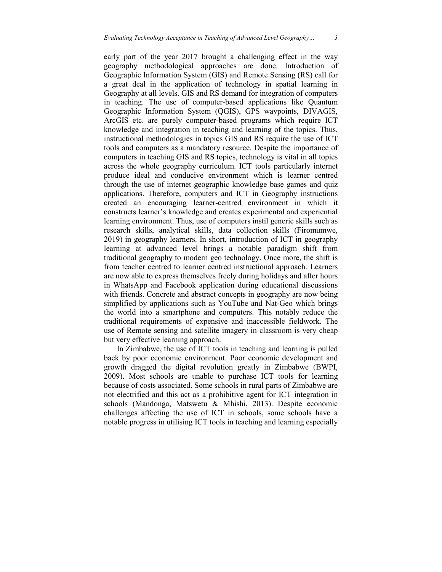early part of the year 2017 brought a challenging effect in the way geography methodological approaches are done. Introduction of Geographic Information System (GIS) and Remote Sensing (RS) call for a great deal in the application of technology in spatial learning in Geography at all levels. GIS and RS demand for integration of computers in teaching. The use of computer-based applications like Quantum Geographic Information System (QGIS), GPS waypoints, DIVAGIS, ArcGIS etc. are purely computer-based programs which require ICT knowledge and integration in teaching and learning of the topics. Thus, instructional methodologies in topics GIS and RS require the use of ICT tools and computers as a mandatory resource. Despite the importance of computers in teaching GIS and RS topics, technology is vital in all topics across the whole geography curriculum. ICT tools particularly internet produce ideal and conducive environment which is learner centred through the use of internet geographic knowledge base games and quiz applications. Therefore, computers and ICT in Geography instructions created an encouraging learner-centred environment in which it constructs learner's knowledge and creates experimental and experiential learning environment. Thus, use of computers instil generic skills such as research skills, analytical skills, data collection skills (Firomumwe, 2019) in geography learners. In short, introduction of ICT in geography learning at advanced level brings a notable paradigm shift from traditional geography to modern geo technology. Once more, the shift is from teacher centred to learner centred instructional approach. Learners are now able to express themselves freely during holidays and after hours in WhatsApp and Facebook application during educational discussions with friends. Concrete and abstract concepts in geography are now being simplified by applications such as YouTube and Nat-Geo which brings

the world into a smartphone and computers. This notably reduce the traditional requirements of expensive and inaccessible fieldwork. The use of Remote sensing and satellite imagery in classroom is very cheap but very effective learning approach.

 In Zimbabwe, the use of ICT tools in teaching and learning is pulled back by poor economic environment. Poor economic development and growth dragged the digital revolution greatly in Zimbabwe (BWPI, 2009). Most schools are unable to purchase ICT tools for learning because of costs associated. Some schools in rural parts of Zimbabwe are not electrified and this act as a prohibitive agent for ICT integration in schools (Mandonga, Matswetu & Mhishi, 2013). Despite economic challenges affecting the use of ICT in schools, some schools have a notable progress in utilising ICT tools in teaching and learning especially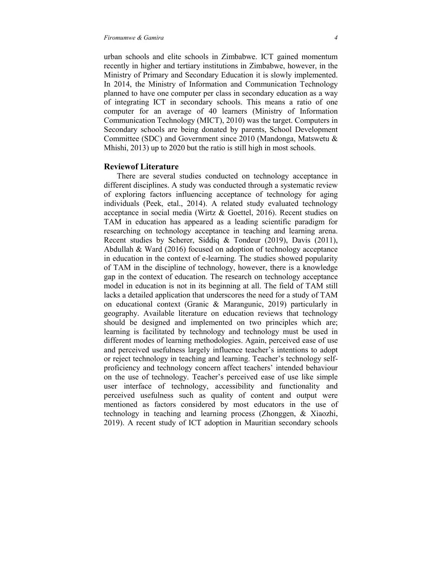urban schools and elite schools in Zimbabwe. ICT gained momentum recently in higher and tertiary institutions in Zimbabwe, however, in the Ministry of Primary and Secondary Education it is slowly implemented. In 2014, the Ministry of Information and Communication Technology planned to have one computer per class in secondary education as a way of integrating ICT in secondary schools. This means a ratio of one computer for an average of 40 learners (Ministry of Information Communication Technology (MICT), 2010) was the target. Computers in Secondary schools are being donated by parents, School Development Committee (SDC) and Government since 2010 (Mandonga, Matswetu & Mhishi, 2013) up to 2020 but the ratio is still high in most schools.

# **Reviewof Literature**

 There are several studies conducted on technology acceptance in different disciplines. A study was conducted through a systematic review of exploring factors influencing acceptance of technology for aging individuals (Peek, etal., 2014). A related study evaluated technology acceptance in social media (Wirtz & Goettel, 2016). Recent studies on TAM in education has appeared as a leading scientific paradigm for researching on technology acceptance in teaching and learning arena. Recent studies by Scherer, Siddiq & Tondeur (2019), Davis (2011), Abdullah & Ward (2016) focused on adoption of technology acceptance in education in the context of e-learning. The studies showed popularity of TAM in the discipline of technology, however, there is a knowledge gap in the context of education. The research on technology acceptance model in education is not in its beginning at all. The field of TAM still lacks a detailed application that underscores the need for a study of TAM on educational context (Granic & Marangunic, 2019) particularly in geography. Available literature on education reviews that technology should be designed and implemented on two principles which are; learning is facilitated by technology and technology must be used in different modes of learning methodologies. Again, perceived ease of use and perceived usefulness largely influence teacher's intentions to adopt or reject technology in teaching and learning. Teacher's technology selfproficiency and technology concern affect teachers' intended behaviour on the use of technology. Teacher's perceived ease of use like simple user interface of technology, accessibility and functionality and perceived usefulness such as quality of content and output were mentioned as factors considered by most educators in the use of technology in teaching and learning process (Zhonggen, & Xiaozhi, 2019). A recent study of ICT adoption in Mauritian secondary schools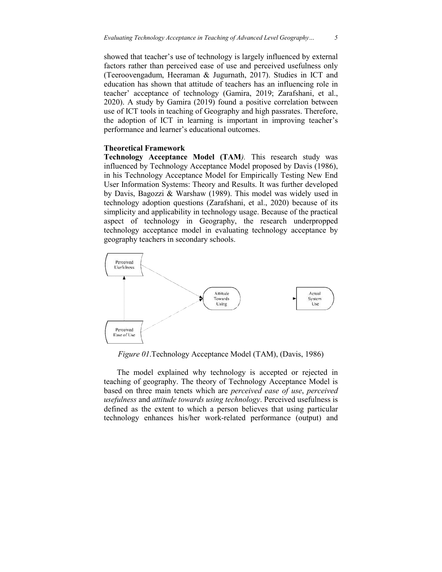showed that teacher's use of technology is largely influenced by external factors rather than perceived ease of use and perceived usefulness only (Teeroovengadum, Heeraman Heeraman & Jugurnath, 2017). Studies in ICT and education has shown that attitude of teachers has an influencing role in teacher' acceptance of technology (Gamira, 2019; Zarafshani, et al., 2020). A study by Gamira (2019) found a positive correlation between use of ICT tools in teaching of Geography and high passrates. Therefore, the adoption of ICT in learning is important in improving teacher's performance and learner's educational outcomes.

## **Theoretical Framework**

**Technology Acceptance Model (TAM** *).* This research study was influenced by Technology Acceptance Model proposed by Davis (1986), in his Technology Acceptance Model for Empirically Testing New End User Information Systems: Theory and Results. It was further developed by Davis, Bagozzi & Warshaw (1989). This model was widely used in technology adoption questions (Zarafshani, et al., 2020) because of its simplicity and applicability in technology usage. Because of the practical aspect of technology in Geography, the research underpropped technology acceptance model in evaluating technology acceptance by geography teachers in secondary schools.



*Figure 01*.Technology Acceptance Model (TAM), (Davis, 1986)

The model explained why technology is accepted or rejected in teaching of geography. The theory of Technology Acceptance Model is based on three main tenets which are *perceived ease of use*, *perceived usefulness* and *attitude towards using technology* . Perceived usefulness is defined as the extent to which a person believes that using particular technology enhances his/her work-related performance (output) and Technology Acceptance Model (TAM), (Davis, 1986)<br>1 explained why technology is accepted or rejected in<br>ography. The theory of Technology Acceptance Model is<br><sup>2</sup> main tenets which are *perceived ease of use*, *perceived* technology.<br>rson believe<br>related perf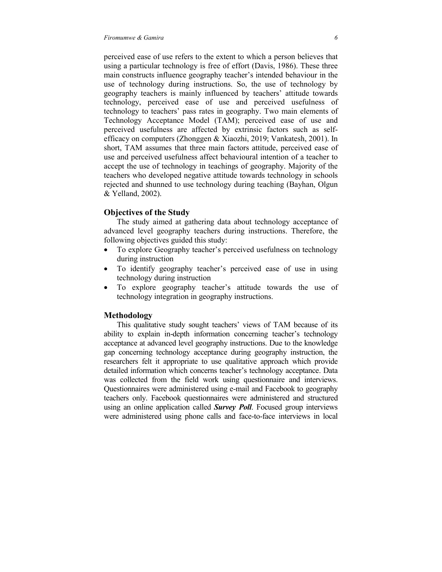perceived ease of use refers to the extent to which a person believes that using a particular technology is free of effort (Davis, 1986). These three main constructs influence geography teacher's intended behaviour in the use of technology during instructions. So, the use of technology by geography teachers is mainly influenced by teachers' attitude towards technology, perceived ease of use and perceived usefulness of technology to teachers' pass rates in geography. Two main elements of Technology Acceptance Model (TAM); perceived ease of use and perceived usefulness are affected by extrinsic factors such as selfefficacy on computers (Zhonggen & Xiaozhi, 2019; Vankatesh, 2001). In short, TAM assumes that three main factors attitude, perceived ease of use and perceived usefulness affect behavioural intention of a teacher to accept the use of technology in teachings of geography. Majority of the teachers who developed negative attitude towards technology in schools rejected and shunned to use technology during teaching (Bayhan, Olgun & Yelland, 2002).

## **Objectives of the Study**

 The study aimed at gathering data about technology acceptance of advanced level geography teachers during instructions. Therefore, the following objectives guided this study:

- To explore Geography teacher's perceived usefulness on technology during instruction
- To identify geography teacher's perceived ease of use in using technology during instruction
- To explore geography teacher's attitude towards the use of technology integration in geography instructions.

## **Methodology**

 This qualitative study sought teachers' views of TAM because of its ability to explain in-depth information concerning teacher's technology acceptance at advanced level geography instructions. Due to the knowledge gap concerning technology acceptance during geography instruction, the researchers felt it appropriate to use qualitative approach which provide detailed information which concerns teacher's technology acceptance. Data was collected from the field work using questionnaire and interviews. Questionnaires were administered using e-mail and Facebook to geography teachers only. Facebook questionnaires were administered and structured using an online application called *Survey Poll*. Focused group interviews were administered using phone calls and face-to-face interviews in local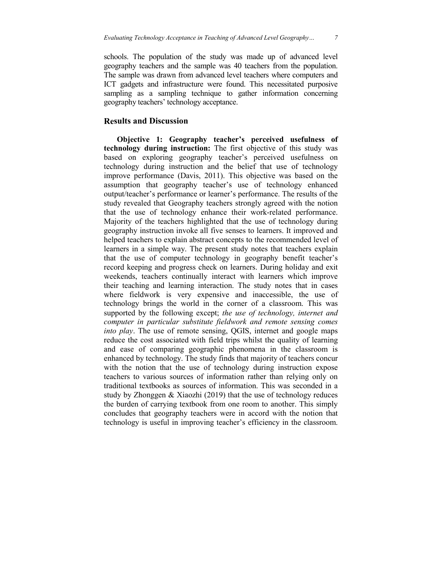schools. The population of the study was made up of advanced level geography teachers and the sample was 40 teachers from the population. The sample was drawn from advanced level teachers where computers and ICT gadgets and infrastructure were found. This necessitated purposive sampling as a sampling technique to gather information concerning geography teachers' technology acceptance.

# **Results and Discussion**

 **Objective 1: Geography teacher's perceived usefulness of technology during instruction:** The first objective of this study was based on exploring geography teacher's perceived usefulness on technology during instruction and the belief that use of technology improve performance (Davis, 2011). This objective was based on the assumption that geography teacher's use of technology enhanced output/teacher's performance or learner's performance. The results of the study revealed that Geography teachers strongly agreed with the notion that the use of technology enhance their work-related performance. Majority of the teachers highlighted that the use of technology during geography instruction invoke all five senses to learners. It improved and helped teachers to explain abstract concepts to the recommended level of learners in a simple way. The present study notes that teachers explain that the use of computer technology in geography benefit teacher's record keeping and progress check on learners. During holiday and exit weekends, teachers continually interact with learners which improve their teaching and learning interaction. The study notes that in cases where fieldwork is very expensive and inaccessible, the use of technology brings the world in the corner of a classroom. This was supported by the following except; *the use of technology, internet and computer in particular substitute fieldwork and remote sensing comes into play*. The use of remote sensing, QGIS, internet and google maps reduce the cost associated with field trips whilst the quality of learning and ease of comparing geographic phenomena in the classroom is enhanced by technology. The study finds that majority of teachers concur with the notion that the use of technology during instruction expose teachers to various sources of information rather than relying only on traditional textbooks as sources of information. This was seconded in a study by Zhonggen & Xiaozhi (2019) that the use of technology reduces the burden of carrying textbook from one room to another. This simply concludes that geography teachers were in accord with the notion that technology is useful in improving teacher's efficiency in the classroom.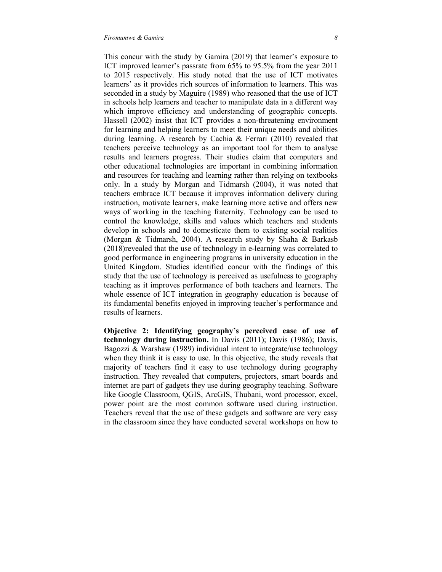This concur with the study by Gamira (2019) that learner's exposure to ICT improved learner's passrate from 65% to 95.5% from the year 2011 to 2015 respectively. His study noted that the use of ICT motivates learners' as it provides rich sources of information to learners. This was seconded in a study by Maguire (1989) who reasoned that the use of ICT in schools help learners and teacher to manipulate data in a different way which improve efficiency and understanding of geographic concepts. Hassell (2002) insist that ICT provides a non-threatening environment for learning and helping learners to meet their unique needs and abilities during learning. A research by Cachia & Ferrari (2010) revealed that teachers perceive technology as an important tool for them to analyse results and learners progress. Their studies claim that computers and other educational technologies are important in combining information and resources for teaching and learning rather than relying on textbooks only. In a study by Morgan and Tidmarsh (2004), it was noted that teachers embrace ICT because it improves information delivery during instruction, motivate learners, make learning more active and offers new ways of working in the teaching fraternity. Technology can be used to control the knowledge, skills and values which teachers and students develop in schools and to domesticate them to existing social realities (Morgan & Tidmarsh, 2004). A research study by Shaha & Barkasb (2018)revealed that the use of technology in e-learning was correlated to good performance in engineering programs in university education in the United Kingdom. Studies identified concur with the findings of this study that the use of technology is perceived as usefulness to geography teaching as it improves performance of both teachers and learners. The whole essence of ICT integration in geography education is because of its fundamental benefits enjoyed in improving teacher's performance and results of learners.

**Objective 2: Identifying geography's perceived ease of use of technology during instruction.** In Davis (2011); Davis (1986); Davis, Bagozzi & Warshaw (1989) individual intent to integrate/use technology when they think it is easy to use. In this objective, the study reveals that majority of teachers find it easy to use technology during geography instruction. They revealed that computers, projectors, smart boards and internet are part of gadgets they use during geography teaching. Software like Google Classroom, QGIS, ArcGIS, Thubani, word processor, excel, power point are the most common software used during instruction. Teachers reveal that the use of these gadgets and software are very easy in the classroom since they have conducted several workshops on how to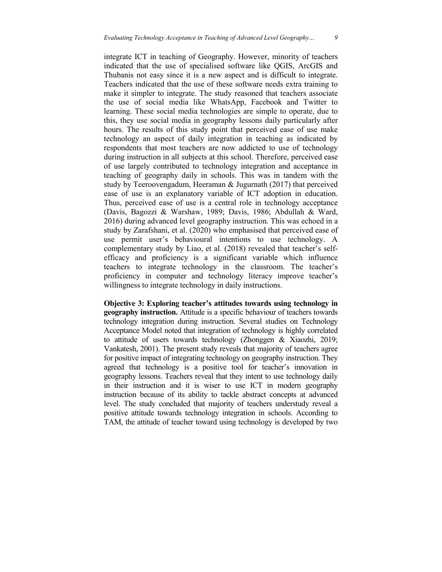integrate ICT in teaching of Geography. However, minority of teachers indicated that the use of specialised software like QGIS, ArcGIS and Thubanis not easy since it is a new aspect and is difficult to integrate. Teachers indicated that the use of these software needs extra training to make it simpler to integrate. The study reasoned that teachers associate the use of social media like WhatsApp, Facebook and Twitter to learning. These social media technologies are simple to operate, due to this, they use social media in geography lessons daily particularly after hours. The results of this study point that perceived ease of use make technology an aspect of daily integration in teaching as indicated by respondents that most teachers are now addicted to use of technology during instruction in all subjects at this school. Therefore, perceived ease of use largely contributed to technology integration and acceptance in teaching of geography daily in schools. This was in tandem with the study by Teeroovengadum, Heeraman & Jugurnath (2017) that perceived ease of use is an explanatory variable of ICT adoption in education. Thus, perceived ease of use is a central role in technology acceptance (Davis, Bagozzi & Warshaw, 1989; Davis, 1986; Abdullah & Ward, 2016) during advanced level geography instruction. This was echoed in a study by Zarafshani, et al. (2020) who emphasised that perceived ease of use permit user's behavioural intentions to use technology. A complementary study by Liao, et al. (2018) revealed that teacher's selfefficacy and proficiency is a significant variable which influence teachers to integrate technology in the classroom. The teacher's proficiency in computer and technology literacy improve teacher's willingness to integrate technology in daily instructions.

**Objective 3: Exploring teacher's attitudes towards using technology in geography instruction.** Attitude is a specific behaviour of teachers towards technology integration during instruction. Several studies on Technology Acceptance Model noted that integration of technology is highly correlated to attitude of users towards technology (Zhonggen & Xiaozhi, 2019; Vankatesh, 2001). The present study reveals that majority of teachers agree for positive impact of integrating technology on geography instruction. They agreed that technology is a positive tool for teacher's innovation in geography lessons. Teachers reveal that they intent to use technology daily in their instruction and it is wiser to use ICT in modern geography instruction because of its ability to tackle abstract concepts at advanced level. The study concluded that majority of teachers understudy reveal a positive attitude towards technology integration in schools. According to TAM, the attitude of teacher toward using technology is developed by two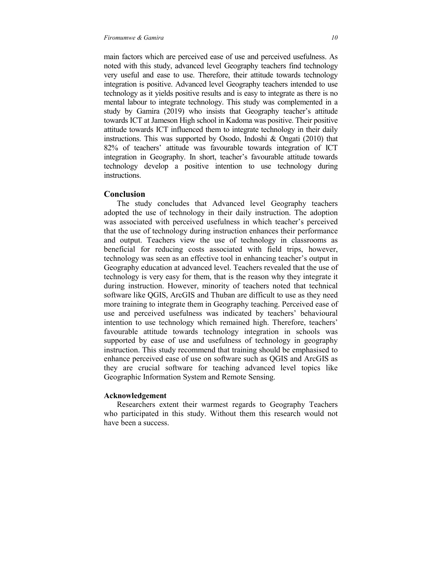main factors which are perceived ease of use and perceived usefulness. As noted with this study, advanced level Geography teachers find technology very useful and ease to use. Therefore, their attitude towards technology integration is positive. Advanced level Geography teachers intended to use technology as it yields positive results and is easy to integrate as there is no mental labour to integrate technology. This study was complemented in a study by Gamira (2019) who insists that Geography teacher's attitude towards ICT at Jameson High school in Kadoma was positive. Their positive attitude towards ICT influenced them to integrate technology in their daily instructions. This was supported by Osodo, Indoshi & Ongati (2010) that 82% of teachers' attitude was favourable towards integration of ICT integration in Geography. In short, teacher's favourable attitude towards technology develop a positive intention to use technology during instructions.

## **Conclusion**

 The study concludes that Advanced level Geography teachers adopted the use of technology in their daily instruction. The adoption was associated with perceived usefulness in which teacher's perceived that the use of technology during instruction enhances their performance and output. Teachers view the use of technology in classrooms as beneficial for reducing costs associated with field trips, however, technology was seen as an effective tool in enhancing teacher's output in Geography education at advanced level. Teachers revealed that the use of technology is very easy for them, that is the reason why they integrate it during instruction. However, minority of teachers noted that technical software like QGIS, ArcGIS and Thuban are difficult to use as they need more training to integrate them in Geography teaching. Perceived ease of use and perceived usefulness was indicated by teachers' behavioural intention to use technology which remained high. Therefore, teachers' favourable attitude towards technology integration in schools was supported by ease of use and usefulness of technology in geography instruction. This study recommend that training should be emphasised to enhance perceived ease of use on software such as QGIS and ArcGIS as they are crucial software for teaching advanced level topics like Geographic Information System and Remote Sensing.

#### **Acknowledgement**

 Researchers extent their warmest regards to Geography Teachers who participated in this study. Without them this research would not have been a success.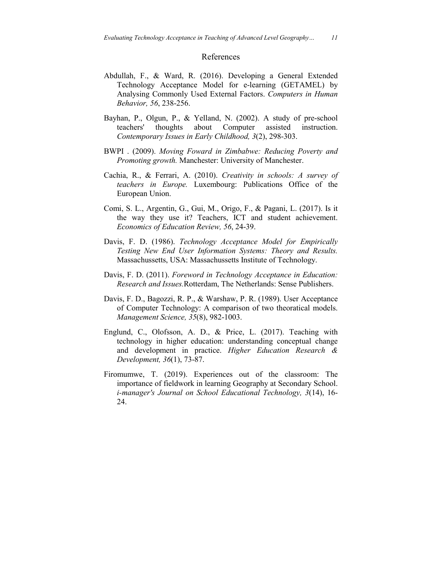### References

- Abdullah, F., & Ward, R. (2016). Developing a General Extended Technology Acceptance Model for e-learning (GETAMEL) by Analysing Commonly Used External Factors. *Computers in Human Behavior, 56*, 238-256.
- Bayhan, P., Olgun, P., & Yelland, N. (2002). A study of pre-school teachers' thoughts about Computer assisted instruction. *Contemporary Issues in Early Childhood, 3*(2), 298-303.
- BWPI . (2009). *Moving Foward in Zimbabwe: Reducing Poverty and Promoting growth.* Manchester: University of Manchester.
- Cachia, R., & Ferrari, A. (2010). *Creativity in schools: A survey of teachers in Europe.* Luxembourg: Publications Office of the European Union.
- Comi, S. L., Argentin, G., Gui, M., Origo, F., & Pagani, L. (2017). Is it the way they use it? Teachers, ICT and student achievement. *Economics of Education Review, 56*, 24-39.
- Davis, F. D. (1986). *Technology Acceptance Model for Empirically Testing New End User Information Systems: Theory and Results.* Massachussetts, USA: Massachussetts Institute of Technology.
- Davis, F. D. (2011). *Foreword in Technology Acceptance in Education: Research and Issues.*Rotterdam, The Netherlands: Sense Publishers.
- Davis, F. D., Bagozzi, R. P., & Warshaw, P. R. (1989). User Acceptance of Computer Technology: A comparison of two theoratical models. *Management Science, 35*(8), 982-1003.
- Englund, C., Olofsson, A. D., & Price, L. (2017). Teaching with technology in higher education: understanding conceptual change and development in practice. *Higher Education Research & Development, 36*(1), 73-87.
- Firomumwe, T. (2019). Experiences out of the classroom: The importance of fieldwork in learning Geography at Secondary School. *i-manager's Journal on School Educational Technology, 3*(14), 16- 24.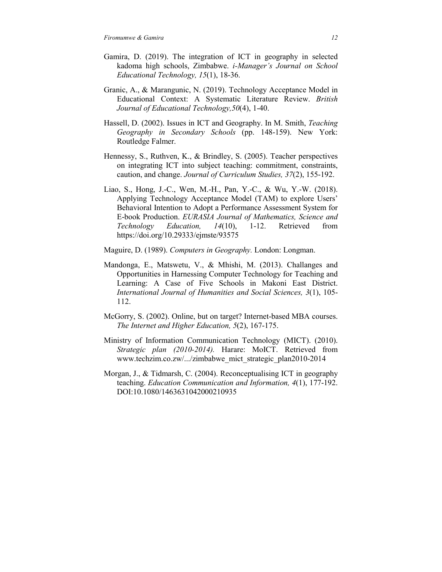- Gamira, D. (2019). The integration of ICT in geography in selected kadoma high schools, Zimbabwe. *i-Manager's Journal on School Educational Technology, 15*(1), 18-36.
- Granic, A., & Marangunic, N. (2019). Technology Acceptance Model in Educational Context: A Systematic Literature Review. *British Journal of Educational Technology,50*(4), 1-40.
- Hassell, D. (2002). Issues in ICT and Geography. In M. Smith, *Teaching Geography in Secondary Schools* (pp. 148-159). New York: Routledge Falmer.
- Hennessy, S., Ruthven, K., & Brindley, S. (2005). Teacher perspectives on integrating ICT into subject teaching: commitment, constraints, caution, and change. *Journal of Curriculum Studies, 37*(2), 155-192.
- Liao, S., Hong, J.-C., Wen, M.-H., Pan, Y.-C., & Wu, Y.-W. (2018). Applying Technology Acceptance Model (TAM) to explore Users' Behavioral Intention to Adopt a Performance Assessment System for E-book Production. *EURASIA Journal of Mathematics, Science and Technology Education, 14*(10), 1-12. Retrieved from https://doi.org/10.29333/ejmste/93575
- Maguire, D. (1989). *Computers in Geography.* London: Longman.
- Mandonga, E., Matswetu, V., & Mhishi, M. (2013). Challanges and Opportunities in Harnessing Computer Technology for Teaching and Learning: A Case of Five Schools in Makoni East District. *International Journal of Humanities and Social Sciences, 3*(1), 105- 112.
- McGorry, S. (2002). Online, but on target? Internet-based MBA courses. *The Internet and Higher Education, 5*(2), 167-175.
- Ministry of Information Communication Technology (MICT). (2010). *Strategic plan (2010-2014).* Harare: MoICT. Retrieved from www.techzim.co.zw/.../zimbabwe\_mict\_strategic\_plan2010-2014
- Morgan, J., & Tidmarsh, C. (2004). Reconceptualising ICT in geography teaching. *Education Communication and Information, 4*(1), 177-192. DOI:10.1080/1463631042000210935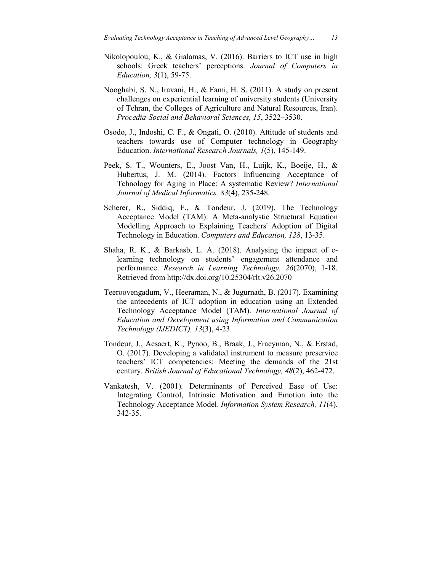- Nikolopoulou, K., & Gialamas, V. (2016). Barriers to ICT use in high schools: Greek teachers' perceptions. *Journal of Computers in Education, 3*(1), 59-75.
- Nooghabi, S. N., Iravani, H., & Fami, H. S. (2011). A study on present challenges on experiential learning of university students (University of Tehran, the Colleges of Agriculture and Natural Resources, Iran). *Procedia-Social and Behavioral Sciences, 15*, 3522–3530.
- Osodo, J., Indoshi, C. F., & Ongati, O. (2010). Attitude of students and teachers towards use of Computer technology in Geography Education. *International Research Journals, 1*(5), 145-149.
- Peek, S. T., Wounters, E., Joost Van, H., Luijk, K., Boeije, H., & Hubertus, J. M. (2014). Factors Influencing Acceptance of Tchnology for Aging in Place: A systematic Review? *International Journal of Medical Informatics, 83*(4), 235-248.
- Scherer, R., Siddiq, F., & Tondeur, J. (2019). The Technology Acceptance Model (TAM): A Meta-analystic Structural Equation Modelling Approach to Explaining Teachers' Adoption of Digital Technology in Education. *Computers and Education, 128*, 13-35.
- Shaha, R. K., & Barkasb, L. A. (2018). Analysing the impact of elearning technology on students' engagement attendance and performance. *Research in Learning Technology, 26*(2070), 1-18. Retrieved from http://dx.doi.org/10.25304/rlt.v26.2070
- Teeroovengadum, V., Heeraman, N., & Jugurnath, B. (2017). Examining the antecedents of ICT adoption in education using an Extended Technology Acceptance Model (TAM). *International Journal of Education and Development using Information and Communication Technology (IJEDICT), 13*(3), 4-23.
- Tondeur, J., Aesaert, K., Pynoo, B., Braak, J., Fraeyman, N., & Erstad, O. (2017). Developing a validated instrument to measure preservice teachers' ICT competencies: Meeting the demands of the 21st century. *British Journal of Educational Technology, 48*(2), 462-472.
- Vankatesh, V. (2001). Determinants of Perceived Ease of Use: Integrating Control, Intrinsic Motivation and Emotion into the Technology Acceptance Model. *Information System Research, 11*(4), 342-35.